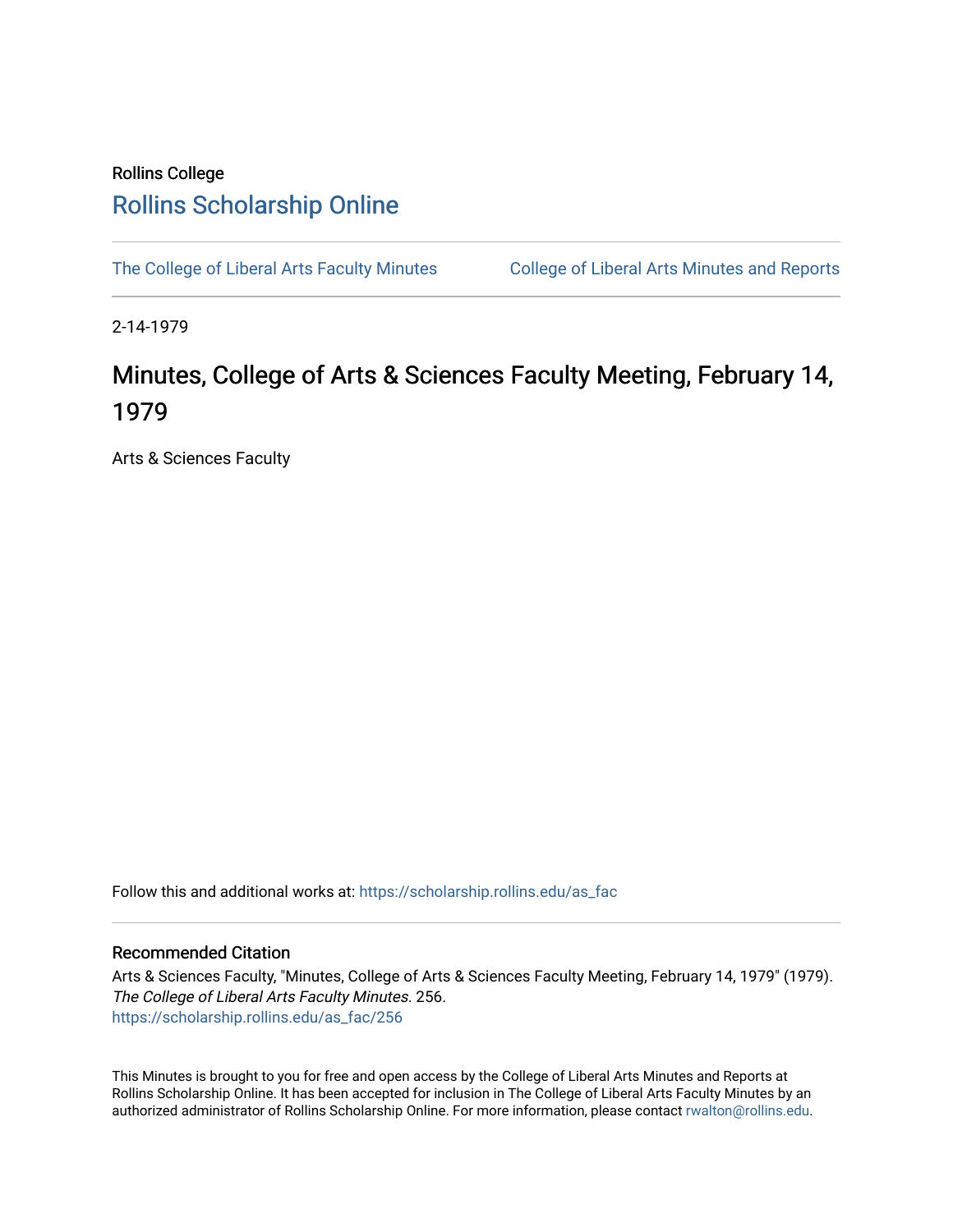## Rollins College [Rollins Scholarship Online](https://scholarship.rollins.edu/)

[The College of Liberal Arts Faculty Minutes](https://scholarship.rollins.edu/as_fac) College of Liberal Arts Minutes and Reports

2-14-1979

## Minutes, College of Arts & Sciences Faculty Meeting, February 14, 1979

Arts & Sciences Faculty

Follow this and additional works at: [https://scholarship.rollins.edu/as\\_fac](https://scholarship.rollins.edu/as_fac?utm_source=scholarship.rollins.edu%2Fas_fac%2F256&utm_medium=PDF&utm_campaign=PDFCoverPages) 

## Recommended Citation

Arts & Sciences Faculty, "Minutes, College of Arts & Sciences Faculty Meeting, February 14, 1979" (1979). The College of Liberal Arts Faculty Minutes. 256. [https://scholarship.rollins.edu/as\\_fac/256](https://scholarship.rollins.edu/as_fac/256?utm_source=scholarship.rollins.edu%2Fas_fac%2F256&utm_medium=PDF&utm_campaign=PDFCoverPages) 

This Minutes is brought to you for free and open access by the College of Liberal Arts Minutes and Reports at Rollins Scholarship Online. It has been accepted for inclusion in The College of Liberal Arts Faculty Minutes by an authorized administrator of Rollins Scholarship Online. For more information, please contact [rwalton@rollins.edu](mailto:rwalton@rollins.edu).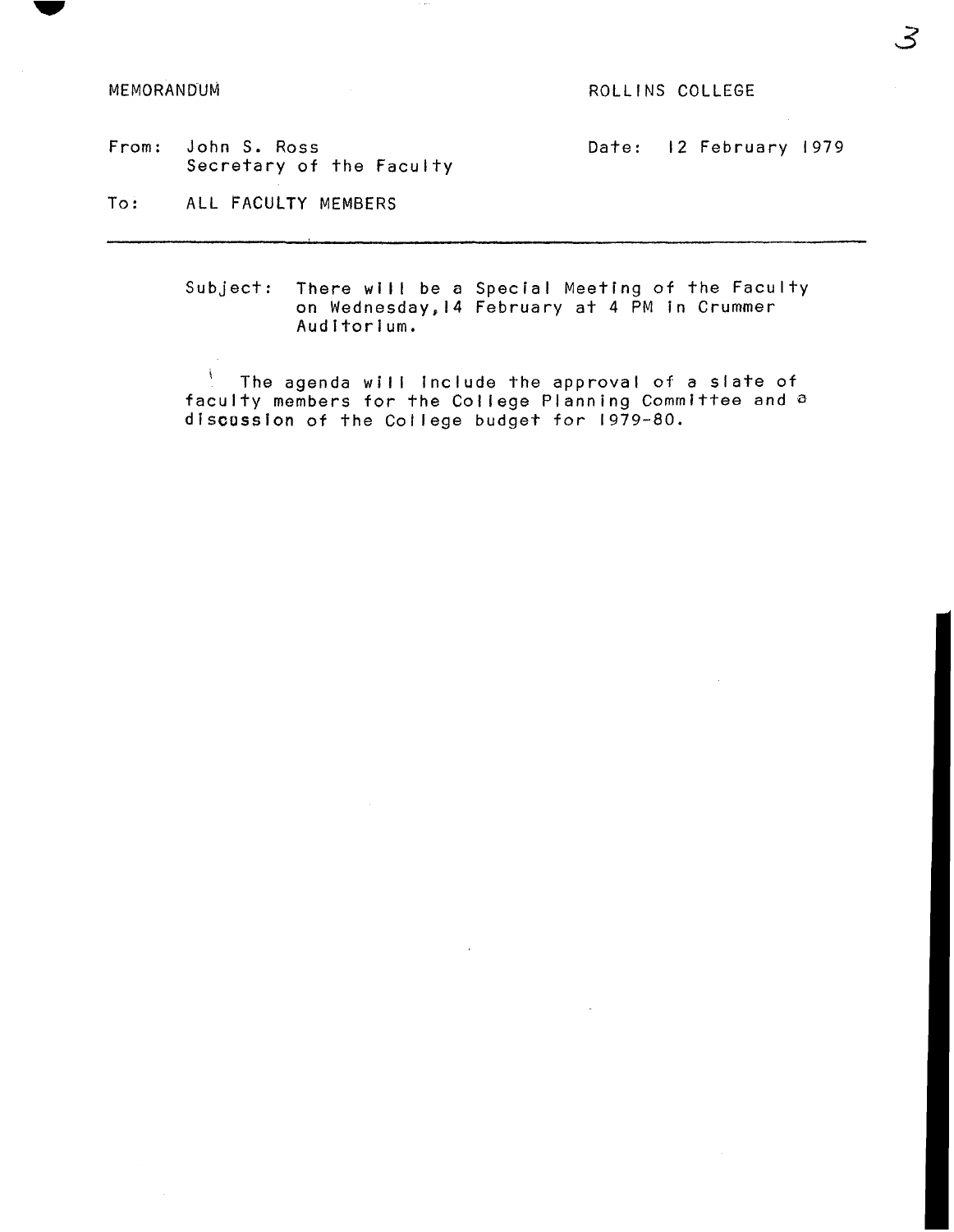MEMORANDUM ROLLINS COLLEGE

From: John S. Ross Date: 12 February 1979 Secretary of the Faculty

To: ALL FACULTY MEMBERS

Subject: There will be a Special Meeting of the Faculty on Wednesday,14 February at 4 PM in Crummer Auditorium.

 $\mathcal{N}$ The agenda will include the approval of a slate of faculty members for the College Planning Committee and a discussion of the College budget for 1979-80.